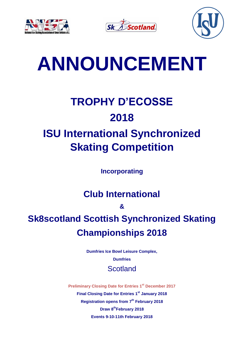





# **ANNOUNCEMENT**

# **TROPHY D'ECOSSE 2018 ISU International Synchronized**

# **Skating Competition**

**Incorporating** 

### **Club International**

**&**

## **Sk8scotland Scottish Synchronized Skating Championships 2018**

**Dumfries Ice Bowl Leisure Complex, Dumfries Scotland** 

**Preliminary Closing Date for Entries 1 st December 2017 Final Closing Date for Entries 1 st January 2018 Registration opens from 7 th February 2018 Draw 8 thFebruary 2018 Events 9-10-11th February 2018**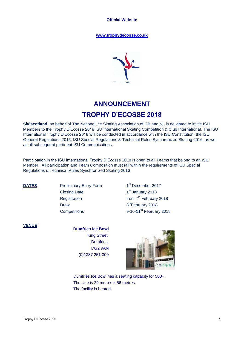**Official Website**

**www.trophydecosse.co.uk**



### **ANNOUNCEMENT TROPHY D'ECOSSE 2018**

**Sk8scotland,** on behalf of The National Ice Skating Association of GB and NI, is delighted to invite ISU Members to the Trophy D'Ecosse 2018 ISU International Skating Competition & Club International. The ISU International Trophy D'Ecosse 2018 will be conducted in accordance with the ISU Constitution, the ISU General Regulations 2016, ISU Special Regulations & Technical Rules Synchronized Skating 2016, as well as all subsequent pertinent ISU Communications.

Participation in the ISU International Trophy D'Ecosse 2018 is open to all Teams that belong to an ISU Member. All participation and Team Composition must fall within the requirements of ISU Special Regulations & Technical Rules Synchronized Skating 2016

**DATES** Preliminary Entry Form Closing Date 1 **Registration** Draw

1<sup>st</sup> December 2017 1<sup>st</sup> January 2018 from 7<sup>th</sup> February 2018 8<sup>th</sup>February 2018 Competitions 9-10-11<sup>th</sup> February 2018

#### **VENUE**

#### **Dumfries Ice Bowl** King Street, Dumfries, DG2 9AN (0)1387 251 300



Dumfries Ice Bowl has a seating capacity for 500+ The size is 29 metres x 56 metres. The facility is heated.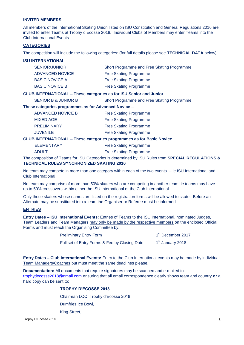#### **INVITED MEMBERS**

All members of the International Skating Union listed on ISU Constitution and General Regulations 2016 are invited to enter Teams at Trophy d'Ecosse 2018. Individual Clubs of Members may enter Teams into the Club International Events.

#### **CATEGORIES**

The competition will include the following categories: (for full details please see **TECHNICAL DATA** below)

#### **ISU INTERNATIONAL**

| <b>SENIOR/JUNIOR</b>  | Short Programme and Free Skating Programme |
|-----------------------|--------------------------------------------|
| ADVANCED NOVICE       | <b>Free Skating Programme</b>              |
| <b>BASIC NOVICE A</b> | <b>Free Skating Programme</b>              |
| <b>BASIC NOVICE B</b> | <b>Free Skating Programme</b>              |
|                       |                                            |

#### **CLUB INTERNATIONAL – These categories as for ISU Senior and Junior**

SENIOR B & JUNIOR B Short Programme and Free Skating Programme

#### **These categories programmes as for Advanced Novice –**

| <b>JUVENILE</b>          | <b>Free Skating Programme</b> |
|--------------------------|-------------------------------|
| <b>PRELIMINARY</b>       | <b>Free Skating Programme</b> |
| <b>MIXED AGE</b>         | <b>Free Skating Programme</b> |
| <b>ADVANCED NOVICE B</b> | <b>Free Skating Programme</b> |

#### **CLUB INTERNATIONAL – These categories programmes as for Basic Novice**

ELEMENTARY **Free Skating Programme** 

ADULT ADULT **Free Skating Programme** 

The composition of Teams for ISU Categories is determined by ISU Rules from **SPECIAL REGULATIONS & TECHNICAL RULES SYNCHRONIZED SKATING 2016**

No team may compete in more than one category within each of the two events. – ie ISU International and Club International

No team may comprise of more than 50% skaters who are competing in another team. ie teams may have up to 50% crossovers within either the ISU International or the Club International.

Only those skaters whose names are listed on the registration forms will be allowed to skate. Before an Alternate may be substituted into a team the Organiser or Referee must be informed.

#### **ENTRIES**

**Entry Dates – ISU International Events:** Entries of Teams to the ISU International, nominated Judges, Team Leaders and Team Managers may only be made by the respective members on the enclosed Official Forms and must reach the Organising Committee by:

| <b>Preliminary Entry Form</b>                 | 1 <sup>st</sup> December 2017 |
|-----------------------------------------------|-------------------------------|
| Full set of Entry Forms & Fee by Closing Date | 1 <sup>st</sup> January 2018  |

**Entry Dates – Club International Events:** Entry to the Club International events may be made by individual Team Managers/Coaches but must meet the same deadlines please.

**Documentation:** All documents that require signatures may be scanned and e-mailed to [trophydecosse2018@gmail.com](mailto:trophydecosse2018@gmail.com) ensuring that all email correspondence clearly shows team and country **or** a hard copy can be sent to:

#### **TROPHY D'ECOSSE 2018**

Chairman LOC, Trophy d'Ecosse 2018

Dumfries Ice Bowl,

King Street,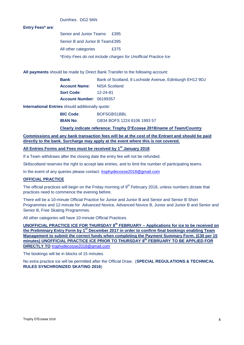Dumfries. DG2 9AN

#### **Entry Fees\* are**:

Senior and Junior Teams £395 Senior B and Junior B Team£395 All other categories E375 \**Entry Fees do not include charges for Unofficial Practice Ice*

**All payments** should be made by Direct Bank Transfer to the following account:

| Bank:                              | Bank of Scotland, 8 Lochside Avenue, Edinburgh EH12 9DJ |
|------------------------------------|---------------------------------------------------------|
| <b>Account Name:</b> NISA Scotland |                                                         |
| <b>Sort Code:</b>                  | 12-24-81                                                |
| Account Number: 06199357           |                                                         |

**International Entries** should additionally quote:

| <b>BIC Code:</b> | BOFSGBS1BBL                 |
|------------------|-----------------------------|
| <b>IBAN No:</b>  | GB34 BOFS 1224 8106 1993 57 |

#### **Clearly indicate reference: Trophy D'Ecosse 2018/***name of Team/Country*

**Commissions and any bank transaction fees will be at the cost of the Entrant and should be paid directly to the bank. Surcharge may apply at the event where this is not covered.**

#### **All Entries Forms and Fees must be received by 1 st January 2018**.

If a Team withdraws after the closing date the entry fee will not be refunded.

Sk8scotland reserves the right to accept late entries, and to limit the number of participating teams.

In the event of any queries please contact: [trophydecosse2018@gmail.com](mailto:trophydecosse2018@gmail.com)

#### **OFFICIAL PRACTICE**

The official practices will begin on the Friday morning of  $9<sup>th</sup>$  February 2018, unless numbers dictate that practices need to commence the evening before.

There will be a 10-minute Official Practice for Junior and Junior B and Senior and Senior B Short Programmes and 12-minute for Advanced Novice, Advanced Novice B, Junior and Junior B and Senior and Senior B, Free Skating Programmes.

All other categories will have 10-minute Official Practices.

**UNOFFICIAL PRACTICE ICE FOR THURSDAY 8 th FEBRUARY – Applications for ice to be received on**  the Preliminary Entry Form by 1<sup>st</sup> December 2017 in order to confirm final bookings enabling Team **Management to submit the correct funds when completing the Payment Summary Form. (£30 per 15 minutes) UNOFFICIAL PRACTICE ICE PRIOR TO THURSDAY 8 th FEBRUARY TO BE APPLIED FOR DIRECTLY TO** [trophydecosse2018@gmail.com](mailto:trophydecosse2018@gmail.com)

The bookings will be in blocks of 15 minutes.

No extra practice ice will be permitted after the Official Draw. (**SPECIAL REGULATIONS & TECHNICAL RULES SYNCHRONIZED SKATING 2016**)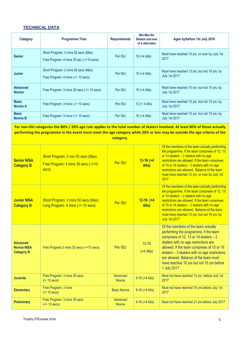#### **TECHNICAL DATA**

| Category                         | <b>Programme Time</b>                                                           | <b>Requirements</b> | Min-Max No<br><b>Skaters and max</b><br>of 4 alternates | Ages by/before 1st July 2016                                         |
|----------------------------------|---------------------------------------------------------------------------------|---------------------|---------------------------------------------------------|----------------------------------------------------------------------|
| <b>Senior</b>                    | Short Program: 2 mins 50 secs (Max)<br>Free Program: 4 mins 30 sec (-/+10 secs) | Per ISU             | 16 $(+4$ Alts)                                          | Must have reached 15 yrs. or over by July 1st<br>2017                |
| <b>Junior</b>                    | Short Program: 2 mins 50 secs (Max)<br>Free Program: 4 mins (-/+ 10 secs)       | Per ISU             | 16 $(+4$ Alts)                                          | Must have reached 13 yrs. but not 19 yrs. by<br><b>July 1st 2017</b> |
| <b>Advanced</b><br><b>Novice</b> | Free Program: 3 mins 30 secs (-/+ 10 secs)                                      | Per ISU             | 16 $(+4$ Alts)                                          | Must have reached 10 yrs. but not 15 yrs. by<br><b>July 1st 2017</b> |
| <b>Basic</b><br><b>Novice A</b>  | Free Program: $3 \text{ mins } (-/+ 10 \text{ secs})$                           | Per ISU             | $12 (+ 4$ Alts)                                         | Must have reached 10 yrs. but not 15 yrs. by<br><b>July 1st 2017</b> |
| <b>Basic</b><br><b>Novice B</b>  | Free Program: 3 mins (-/+ 10 secs)                                              | Per ISU             | 16 $(+4$ Alts)                                          | Must have reached 10 yrs. but not 15 yrs. by<br><b>July 1st 2017</b> |

**For non-ISU categories the 80% / 20% age rule applies to the total number of skaters involved. At least 80% of those actually performing the programme in the event must meet the age category while 20% or less may be outside the age criteria of the category.**

| <b>Senior NISA</b><br><b>Category B</b>                    | Short Program: 2 min 50 secs (Max)<br>Free Program: 4 mins 30 secs (-/+10<br>secs) | Per ISU                   | $12 - 16 + 4$<br>Alts)   | Of the members of the team actually performing<br>the programme, if the team comprises of 12, 13<br>or 14 skaters - 2 skaters with no age<br>restrictions are allowed. If the team comprises<br>of 15 or 16 skaters - 3 skaters with no age<br>restrictions are allowed. Balance of the team<br>must have reached 15 yrs. or over by July 1st<br>2017                |
|------------------------------------------------------------|------------------------------------------------------------------------------------|---------------------------|--------------------------|----------------------------------------------------------------------------------------------------------------------------------------------------------------------------------------------------------------------------------------------------------------------------------------------------------------------------------------------------------------------|
| <b>Junior NISA</b><br><b>Category B</b>                    | Short Program: 2 mins 50 secs (Max)<br>Long Program: 4 mins (-/+ 10 secs)          | Per ISU                   | $12-16$ (+4<br>Alts)     | Of the members of the team actually performing<br>the programme, if the team comprises of 12, 13<br>or 14 skaters - 2 skaters with no age<br>restrictions are allowed. If the team comprises<br>of 15 or 16 skaters - 3 skaters with no age<br>restrictions are allowed. Balance of the team<br>must have reached 13 yrs. but not 19 yrs. by<br><b>July 1st 2017</b> |
| <b>Advanced</b><br><b>Novice NISA</b><br><b>Category B</b> | Free Program: 3 mins 30 secs (-/+10 secs)                                          | Per ISU                   | $12 - 16$<br>$(+4$ Alts) | Of the members of the team actually<br>performing the programme, if the team<br>comprises of 12, 13 or 14 skaters $-2$<br>skaters with no age restrictions are<br>allowed. If the team comprises of 15 or 16<br>skaters - 3 skaters with no age restrictions<br>are allowed. Balance of the team must<br>have reached 10 yrs but not 15 yrs before<br>1 July 2017    |
| <b>Juvenile</b>                                            | Free Program: 3 mins 30 secs<br>$(1 + 10 \text{ secs})$                            | Advanced<br><b>Novice</b> | $9-16 (+4$ Alts)         | Must not have reached 13 yrs. before July 1st<br>2017                                                                                                                                                                                                                                                                                                                |
| <b>Elementary</b>                                          | Free Program: 3 mins<br>$(1 + 10 \text{ secs})$                                    | <b>Basic Novice</b>       | $9-16 (+4$ Alts)         | Must not have reached 16 yrs before July 1st<br>2017                                                                                                                                                                                                                                                                                                                 |
| <b>Preliminary</b>                                         | Free Program: 3 mins 30 secs<br>$(-/4 10 \text{ secs})$                            | Advanced<br><b>Novice</b> | $9-16 (+4$ Alts)         | Must not have reached 21 yrs before July 2017                                                                                                                                                                                                                                                                                                                        |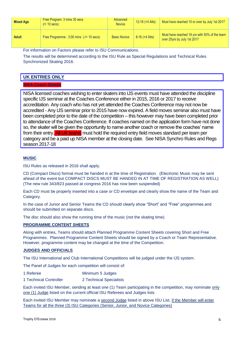| <b>Mixed Age</b> | Free Program: 3 mins 30 secs<br>$(1 + 10 \text{ secs})$ | Advanced<br><b>Novice</b> | $12 - 16 (+4$ Alts) | Must have reached 10 or over by July 1st 2017                                |
|------------------|---------------------------------------------------------|---------------------------|---------------------|------------------------------------------------------------------------------|
| <b>Adult</b>     | Free Programme: 3:00 mins (-/+ 10 secs)                 | <b>Basic Novice</b>       | $8-16 (+4$ Alts)    | Must have reached 18 yrs with 50% of the team<br>over 25yrs by July 1st 2017 |

For information on Factors please refer to ISU Communications.

The results will be determined according to the ISU Rule as Special Regulations and Technical Rules Synchronized Skating 2016.

#### **UK ENTRIES ONLY**

**NISA Coach Details**

NISA licensed coaches wishing to enter skaters into IJS events must have attended the discipline specific IJS seminar at the Coaches Conference either in 2015, 2016 or 2017 to receive accreditation. Any coach who has not yet attended the Coaches Conference may not now be accredited - Any IJS seminar prior to 2015 have now expired. A field moves seminar also must have been completed prior to the date of the competition – this however may have been completed prior to attendance of the Coaches Conference. If coaches named on the application form have not done so, the skater will be given the opportunity to name another coach or remove the coaches' name from their entry. All UK teams must hold the required entry field moves standard per team per category and be a paid up NISA member at the closing date. See NISA Synchro Rules and Regs season 2017-18

#### **MUSIC**

ISU Rules as released in 2016 shall apply.

CD (Compact Discs) format must be handed in at the time of Registration. (Electronic Music may be sent ahead of the event but COMPACT DISCS MUST BE HANDED IN AT TIME OF REGISTRATION AS WELL) (The new rule 343/823 passed at congress 2016 has now been suspended)

Each CD must be properly inserted into a case or CD envelope and clearly show the name of the Team and Category.

In the case of Junior and Senior Teams the CD should clearly show "Short" and "Free" programmes and should be submitted on separate discs.

The disc should also show the running time of the music (not the skating time)

#### **PROGRAMME CONTENT SHEETS**

Along with entries, Teams should attach Planned Programme Content Sheets covering Short and Free Programmes. Planned Programme Content Sheets should be signed by a Coach or Team Representative. However, programme content may be changed at the time of the Competition.

#### **JUDGES AND OFFICIALS**

The ISU International and Club International Competitions will be judged under the IJS system.

The Panel of Judges for each competition will consist of:

| Minimum 5 Judges |
|------------------|
|                  |

1 Technical Controller 2 Technical Specialists

Each invited ISU Member, sending at least one (1) Team participating in the competition, may nominate only one (1) Judge listed on the current official ISU Referees and Judges lists

Each invited ISU Member may nominate a second Judge listed in above ISU List, if the Member will enter Teams for all the three (3) ISU Categories (Senior, Junior, and Novice Categories)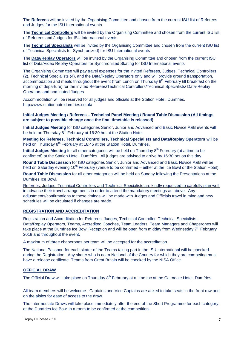The **Referees** will be invited by the Organising Committee and chosen from the current ISU list of Referees and Judges for the ISU International events

The **Technical Controllers** will be invited by the Organising Committee and chosen from the current ISU list of Referees and Judges for ISU International events

The **Technical Specialists** will be invited by the Organising Committee and chosen from the current ISU list of Technical Specialists for Synchronized) for ISU International events

The **Data/Replay Operators** will be invited by the Organising Committee and chosen from the current ISU list of Data/Video Replay Operators for Synchronized Skating for ISU International events

The Organising Committee will pay travel expenses for the invited Referees, Judges, Technical Controllers (2), Technical Specialists (4), and the Data/Replay Operators only and will provide ground transportation, accommodation and meals throughout the event (from Lunch on Thursday 8<sup>th</sup> February till breakfast on the morning of departure) for the invited Referees/Technical Controllers/Technical Specialists/ Data-Replay Operators and nominated Judges.

Accommodation will be reserved for all judges and officials at the Station Hotel, Dumfries. http://www.stationhoteldumfries.co.uk/

#### **Initial Judges Meeting / Referees – Technical Panel Meeting / Round Table Discussion (All timings are subject to possible change once the final timetable is released)**

I**nitial Judges Meeting** for ISU categories Senior, Junior and Advanced and Basic Novice A&B events will be held on Thursday 8<sup>th</sup> February at 16:30 hrs at the Station Hotel.

**Meeting for Referees, Technical Controllers, Technical Specialists and Data/Replay Operators** will be held on Thursday 8<sup>th</sup> February at 18:45 at the Station Hotel, Dumfries.

Initial Judges Meeting for all other categories will be held on Thursday 8<sup>th</sup> February (at a time to be confirmed) at the Station Hotel, Dumfries. All judges are advised to arrive by 16:30 hrs on this day.

**Round Table Discussion** for ISU categories Senior, Junior and Advanced and Basic Novice A&B will be held on Saturday evening 10<sup>th</sup> February (venue to be confirmed – either at the Ice Bowl or the Station Hotel).

**Round Table Discussion** for all other categories will be held on Sunday following the Presentations at the Dumfries Ice Bowl.

Referees, Judges, Technical Controllers and Technical Specialists are kindly requested to carefully plan well in advance their travel arrangements in order to attend the mandatory meetings as above. Any adjustments/confirmations to these timings will be made with Judges and Officials travel in mind and new schedules will be circulated if changes are made.

#### **REGISTRATION AND ACCREDITATION**

Registration and Accreditation for Referees, Judges, Technical Controller, Technical Specialists, Data/Replay Operators, Teams, Accredited Coaches, Team Leaders, Team Managers and Chaperones will take place at the Dumfries Ice Bowl Reception and will be open from midday from Wednesday 7<sup>th</sup> February 2018 and throughout the event.

A maximum of three chaperones per team will be accepted for the accreditation.

The National Passport for each skater of the Teams taking part in the ISU International will be checked during the Registration. Any skater who is not a National of the Country for which they are competing must have a release certificate. Teams from Great Britain will be checked by the NISA Office.

#### **OFFICIAL DRAW**

The Official Draw will take place on Thursday 8<sup>th</sup> February at a time tbc at the Cairndale Hotel, Dumfries.

All team members will be welcome. Captains and Vice Captains are asked to take seats in the front row and on the aisles for ease of access to the draw.

The Intermediate Draws will take place immediately after the end of the Short Programme for each category, at the Dumfries Ice Bowl in a room to be confirmed at the competition.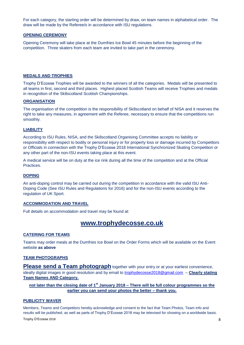For each category, the starting order will be determined by draw, on team names in alphabetical order. The draw will be made by the Referee/s in accordance with ISU regulations.

#### **OPENING CEREMONY**

Opening Ceremony will take place at the Dumfries Ice Bowl 45 minutes before the beginning of the competition. Three skaters from each team are invited to take part in the ceremony.

#### **MEDALS AND TROPHIES**

Trophy D'Ecosse Trophies will be awarded to the winners of all the categories. Medals will be presented to all teams in first, second and third places. Highest placed Scottish Teams will receive Trophies and medals in recognition of the Sk8scotland Scottish Championships.

#### **ORGANISATION**

The organisation of the competition is the responsibility of Sk8scotland on behalf of NISA and it reserves the right to take any measures, in agreement with the Referee, necessary to ensure that the competitions run smoothly.

#### **LIABILITY**

According to ISU Rules, NISA, and the Sk8scotland Organising Committee accepts no liability or responsibility with respect to bodily or personal injury or for property loss or damage incurred by Competitors or Officials in connection with the Trophy D'Ecosse 2018 International Synchronized Skating Competition or any other part of the non-ISU events taking place at this event.

A medical service will be on duty at the ice rink during all the time of the competition and at the Official Practices.

#### **DOPING**

An anti-doping control may be carried out during the competition in accordance with the valid ISU Anti-Doping Code (See ISU Rules and Regulations for 2016) and for the non-ISU events according to the regulation of UK Sport.

#### **ACCOMMODATION AND TRAVEL**

Full details on accommodation and travel may be found at:

#### **www.trophydecosse.co.uk**

#### **CATERING FOR TEAMS**

Teams may order meals at the Dumfries Ice Bowl on the Order Forms which will be available on the Event website **as above**

#### **TEAM PHOTOGRAPHS**

**Please send a Team photograph** together with your entry or at your earliest convenience, ideally digital images in good resolution and by email to [trophydecosse2018@gmail.com](mailto:trophydecosse2018@gmail.com) – **Clearly stating Team Names AND Category.**

#### **not later than the closing date of 1 st January 2018 – There will be full colour programmes so the earlier you can send your photos the better – thank you.**

#### **PUBLICITY WAVER**

Trophy D'Ecosse 2018 **8** Members, Teams and Competitors hereby acknowledge and consent to the fact that Team Photos, Team info and results will be published, as well as parts of Trophy D'Ecosse 2018 may be televised for showing on a worldwide basis.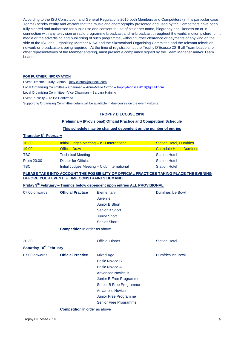According to the ISU Constitution and General Regulations 2016 both Members and Competitors (in this particular case Teams) hereby certify and warrant that the music and choreography presented and used by the Competitors have been fully cleared and authorised for public use and consent to use of his or her name, biography and likeness on or in connection with any television or radio programme broadcast and re-broadcast throughout the world, motion picture, print media or the advertising and publicising of such programme, without further clearance or payments of any kind on the side of the ISU, the Organising Member NISA and the Sk8scotland Organising Committee and the relevant television network or broadcasters being required. At the time of registration at the Trophy D'Ecosse 2018 all Team Leaders, or other representatives of the Member entering, must present a compliance signed by the Team Manager and/or Team Leader.

#### **FOR FURTHER INFORMATION**:

Event Director – Judy Clinton – [judy.clinton@outlook.com](mailto:judy.clinton@outlook.com) Local Organising Committee - Chairman - Anne-Marie Coxon - [trophydecosse2018@gmail.com](mailto:trophydecosse2018@gmail.com) Local Organising Committee –Vice Chairman – Barbara Haining Event Publicity – To Be Confirmed Supporting Organising Committee details will be available in due course on the event website.

#### **TROPHY D'ECOSSE 2018**

#### **Preliminary (Provisional) Official Practice and Competition Schedule**

#### **This schedule may be changed dependent on the number of entries**

#### **Thursday 8 th February**

| 16:30      | Initial Judges Meeting - ISU International  | <b>Station Hotel, Dumfries</b>   |
|------------|---------------------------------------------|----------------------------------|
| 19:00      | <b>Official Draw</b>                        | <b>Cairndale Hotel, Dumfries</b> |
| <b>TBC</b> | <b>Technical Meeting</b>                    | <b>Station Hotel</b>             |
| From 20:00 | <b>Dinner for Officials</b>                 | <b>Station Hotel</b>             |
| <b>TBC</b> | Initial Judges Meeting - Club International | <b>Station Hotel</b>             |

#### **PLEASE TAKE INTO ACCOUNT THE POSSIBILITY OF OFFICIAL PRACTICES TAKING PLACE THE EVENING BEFORE YOUR EVENT IF TIME CONSTRAINTS DEMAND.**

#### **Friday 9 th February – Timings below dependent upon entries ALL PROVISIONAL**

| 07:00 onwards                      | <b>Official Practice</b>             | Elementary<br>Juvenile<br>Junior B Short<br>Senior B Short<br><b>Junior Short</b><br><b>Senior Short</b>                                                                                                                         | <b>Dumfries Ice Bowl</b> |
|------------------------------------|--------------------------------------|----------------------------------------------------------------------------------------------------------------------------------------------------------------------------------------------------------------------------------|--------------------------|
|                                    | <b>Competition In order as above</b> |                                                                                                                                                                                                                                  |                          |
| 20:30                              |                                      | <b>Official Dinner</b>                                                                                                                                                                                                           | <b>Station Hotel</b>     |
| Saturday 10 <sup>th</sup> February |                                      |                                                                                                                                                                                                                                  |                          |
| 07:00 onwards                      | <b>Official Practice</b>             | <b>Mixed Age</b><br><b>Basic Novice B</b><br><b>Basic Novice A</b><br><b>Advanced Novice B</b><br>Junior B Free Programme<br>Senior B Free Programme<br><b>Advanced Novice</b><br>Junior Free Programme<br>Senior Free Programme | <b>Dumfries Ice Bowl</b> |

#### **Competition** In order as above